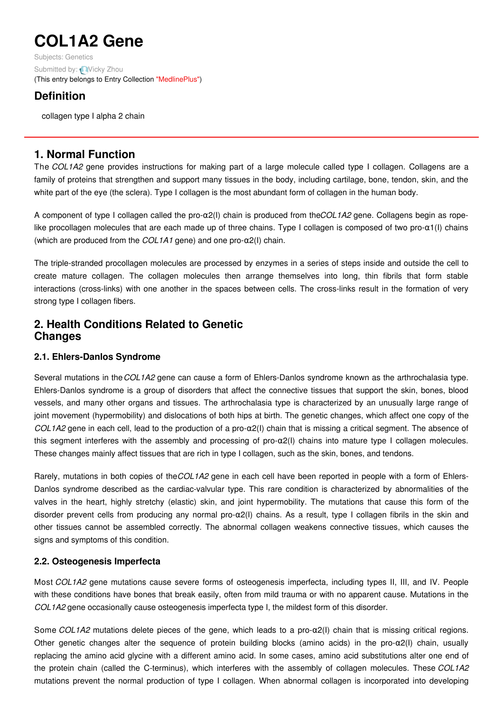# **COL1A2 Gene**

Subjects: [Genetics](https://encyclopedia.pub/item/subject/56) Submitted by: Nicky Zhou (This entry belongs to Entry Collection ["MedlinePlus"](https://encyclopedia.pub/entry/collection/24))

## **Definition**

collagen type I alpha 2 chain

## **1. Normal Function**

The *COL1A2* gene provides instructions for making part of a large molecule called type I collagen. Collagens are a family of proteins that strengthen and support many tissues in the body, including cartilage, bone, tendon, skin, and the white part of the eye (the sclera). Type I collagen is the most abundant form of collagen in the human body.

A component of type I collagen called the pro-α2(I) chain is produced from the*COL1A2* gene. Collagens begin as ropelike procollagen molecules that are each made up of three chains. Type I collagen is composed of two pro- $\alpha$ 1(I) chains (which are produced from the *COL1A1* gene) and one pro-α2(I) chain.

The triple-stranded procollagen molecules are processed by enzymes in a series of steps inside and outside the cell to create mature collagen. The collagen molecules then arrange themselves into long, thin fibrils that form stable interactions (cross-links) with one another in the spaces between cells. The cross-links result in the formation of very strong type I collagen fibers.

## **2. Health Conditions Related to Genetic Changes**

### **2.1. Ehlers-Danlos Syndrome**

Several mutations in the*COL1A2* gene can cause a form of Ehlers-Danlos syndrome known as the arthrochalasia type. Ehlers-Danlos syndrome is a group of disorders that affect the connective tissues that support the skin, bones, blood vessels, and many other organs and tissues. The arthrochalasia type is characterized by an unusually large range of joint movement (hypermobility) and dislocations of both hips at birth. The genetic changes, which affect one copy of the *COL1A2* gene in each cell, lead to the production of a pro-α2(I) chain that is missing a critical segment. The absence of this segment interferes with the assembly and processing of pro- $\alpha$ 2(I) chains into mature type I collagen molecules. These changes mainly affect tissues that are rich in type I collagen, such as the skin, bones, and tendons.

Rarely, mutations in both copies of the*COL1A2* gene in each cell have been reported in people with a form of Ehlers-Danlos syndrome described as the cardiac-valvular type. This rare condition is characterized by abnormalities of the valves in the heart, highly stretchy (elastic) skin, and joint hypermobility. The mutations that cause this form of the disorder prevent cells from producing any normal pro-α2(I) chains. As a result, type I collagen fibrils in the skin and other tissues cannot be assembled correctly. The abnormal collagen weakens connective tissues, which causes the signs and symptoms of this condition.

### **2.2. Osteogenesis Imperfecta**

Most *COL1A2* gene mutations cause severe forms of osteogenesis imperfecta, including types II, III, and IV. People with these conditions have bones that break easily, often from mild trauma or with no apparent cause. Mutations in the *COL1A2* gene occasionally cause osteogenesis imperfecta type I, the mildest form of this disorder.

Some *COL1A2* mutations delete pieces of the gene, which leads to a pro-α2(I) chain that is missing critical regions. Other genetic changes alter the sequence of protein building blocks (amino acids) in the pro-α2(I) chain, usually replacing the amino acid glycine with a different amino acid. In some cases, amino acid substitutions alter one end of the protein chain (called the C-terminus), which interferes with the assembly of collagen molecules. These *COL1A2* mutations prevent the normal production of type I collagen. When abnormal collagen is incorporated into developing